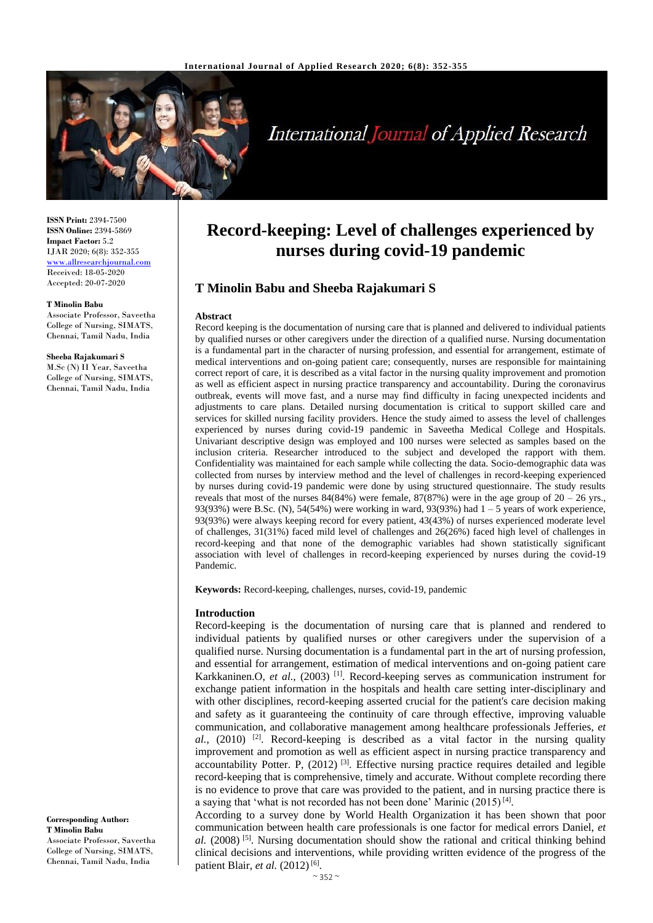

# **International Journal of Applied Research**

**ISSN Print:** 2394-7500 **ISSN Online:** 2394-5869 **Impact Factor:** 5.2 IJAR 2020; 6(8): 352-355 <www.allresearchjournal.com> Received: 18-05-2020 Accepted: 20-07-2020

#### **T Minolin Babu**

Associate Professor, Saveetha College of Nursing, SIMATS, Chennai, Tamil Nadu, India

**Sheeba Rajakumari S** M.Sc (N) II Year, Saveetha College of Nursing, SIMATS, Chennai, Tamil Nadu, India

**Corresponding Author: T Minolin Babu**  Associate Professor, Saveetha College of Nursing, SIMATS, Chennai, Tamil Nadu, India

# **Record-keeping: Level of challenges experienced by nurses during covid-19 pandemic**

## **T Minolin Babu and Sheeba Rajakumari S**

#### **Abstract**

Record keeping is the documentation of nursing care that is planned and delivered to individual patients by qualified nurses or other caregivers under the direction of a qualified nurse. Nursing documentation is a fundamental part in the character of nursing profession, and essential for arrangement, estimate of medical interventions and on-going patient care; consequently, nurses are responsible for maintaining correct report of care, it is described as a vital factor in the nursing quality improvement and promotion as well as efficient aspect in nursing practice transparency and accountability. During the coronavirus outbreak, events will move fast, and a nurse may find difficulty in facing unexpected incidents and adjustments to care plans. Detailed nursing documentation is critical to support skilled care and services for skilled nursing facility providers. Hence the study aimed to assess the level of challenges experienced by nurses during covid-19 pandemic in Saveetha Medical College and Hospitals. Univariant descriptive design was employed and 100 nurses were selected as samples based on the inclusion criteria. Researcher introduced to the subject and developed the rapport with them. Confidentiality was maintained for each sample while collecting the data. Socio-demographic data was collected from nurses by interview method and the level of challenges in record-keeping experienced by nurses during covid-19 pandemic were done by using structured questionnaire. The study results reveals that most of the nurses  $84(84%)$  were female,  $87(87%)$  were in the age group of  $20 - 26$  yrs., 93(93%) were B.Sc. (N), 54(54%) were working in ward, 93(93%) had 1 – 5 years of work experience, 93(93%) were always keeping record for every patient, 43(43%) of nurses experienced moderate level of challenges, 31(31%) faced mild level of challenges and 26(26%) faced high level of challenges in record-keeping and that none of the demographic variables had shown statistically significant association with level of challenges in record-keeping experienced by nurses during the covid-19 Pandemic.

**Keywords:** Record-keeping, challenges, nurses, covid-19, pandemic

#### **Introduction**

Record-keeping is the documentation of nursing care that is planned and rendered to individual patients by qualified nurses or other caregivers under the supervision of a qualified nurse. Nursing documentation is a fundamental part in the art of nursing profession, and essential for arrangement, estimation of medical interventions and on-going patient care Karkkaninen.O, *et al.*, (2003)<sup>[1]</sup>. Record-keeping serves as communication instrument for exchange patient information in the hospitals and health care setting inter-disciplinary and with other disciplines, record-keeping asserted crucial for the patient's care decision making and safety as it guaranteeing the continuity of care through effective, improving valuable communication, and collaborative management among healthcare professionals Jefferies, *et*   $al.$ , (2010) <sup>[2]</sup>. Record-keeping is described as a vital factor in the nursing quality improvement and promotion as well as efficient aspect in nursing practice transparency and accountability Potter. P, (2012)<sup>[3]</sup>. Effective nursing practice requires detailed and legible record-keeping that is comprehensive, timely and accurate. Without complete recording there is no evidence to prove that care was provided to the patient, and in nursing practice there is a saying that 'what is not recorded has not been done' Marinic  $(2015)^{[4]}$ .

According to a survey done by World Health Organization it has been shown that poor communication between health care professionals is one factor for medical errors Daniel, *et al.* (2008) [5]. Nursing documentation should show the rational and critical thinking behind clinical decisions and interventions, while providing written evidence of the progress of the patient Blair, *et al.* (2012)<sup>[6]</sup>.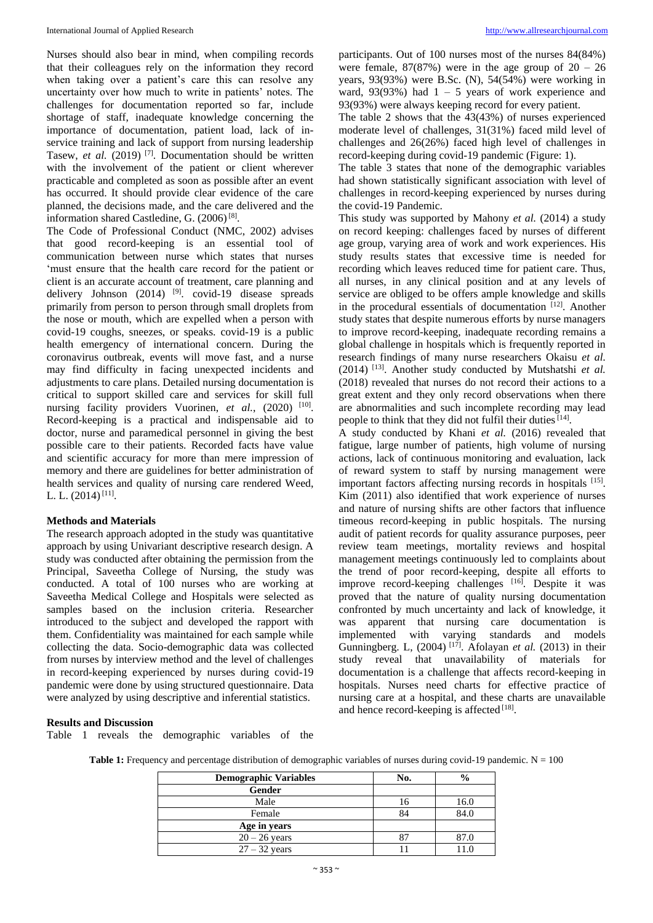Nurses should also bear in mind, when compiling records that their colleagues rely on the information they record when taking over a patient's care this can resolve any uncertainty over how much to write in patients' notes. The challenges for documentation reported so far, include shortage of staff, inadequate knowledge concerning the importance of documentation, patient load, lack of inservice training and lack of support from nursing leadership Tasew, *et al.* (2019)<sup>[7]</sup>. Documentation should be written with the involvement of the patient or client wherever practicable and completed as soon as possible after an event has occurred. It should provide clear evidence of the care planned, the decisions made, and the care delivered and the information shared Castledine, G. (2006)<sup>[8]</sup>.

The Code of Professional Conduct (NMC, 2002) advises that good record-keeping is an essential tool of communication between nurse which states that nurses 'must ensure that the health care record for the patient or client is an accurate account of treatment, care planning and delivery Johnson  $(2014)$  <sup>[9]</sup>. covid-19 disease spreads primarily from person to person through small droplets from the nose or mouth, which are expelled when a person with covid-19 coughs, sneezes, or speaks. covid-19 is a public health emergency of international concern. During the coronavirus outbreak, events will move fast, and a nurse may find difficulty in facing unexpected incidents and adjustments to care plans. Detailed nursing documentation is critical to support skilled care and services for skill full nursing facility providers Vuorinen, et al., (2020) <sup>[10]</sup>. Record-keeping is a practical and indispensable aid to doctor, nurse and paramedical personnel in giving the best possible care to their patients. Recorded facts have value and scientific accuracy for more than mere impression of memory and there are guidelines for better administration of health services and quality of nursing care rendered Weed, L. L.  $(2014)^{[11]}$ .

### **Methods and Materials**

The research approach adopted in the study was quantitative approach by using Univariant descriptive research design. A study was conducted after obtaining the permission from the Principal, Saveetha College of Nursing, the study was conducted. A total of 100 nurses who are working at Saveetha Medical College and Hospitals were selected as samples based on the inclusion criteria. Researcher introduced to the subject and developed the rapport with them. Confidentiality was maintained for each sample while collecting the data. Socio-demographic data was collected from nurses by interview method and the level of challenges in record-keeping experienced by nurses during covid-19 pandemic were done by using structured questionnaire. Data were analyzed by using descriptive and inferential statistics.

participants. Out of 100 nurses most of the nurses 84(84%) were female,  $87(87%)$  were in the age group of  $20 - 26$ years, 93(93%) were B.Sc. (N), 54(54%) were working in ward,  $93(93%)$  had  $1 - 5$  years of work experience and 93(93%) were always keeping record for every patient.

The table 2 shows that the 43(43%) of nurses experienced moderate level of challenges, 31(31%) faced mild level of challenges and 26(26%) faced high level of challenges in record-keeping during covid-19 pandemic (Figure: 1).

The table 3 states that none of the demographic variables had shown statistically significant association with level of challenges in record-keeping experienced by nurses during the covid-19 Pandemic.

This study was supported by Mahony *et al.* (2014) a study on record keeping: challenges faced by nurses of different age group, varying area of work and work experiences. His study results states that excessive time is needed for recording which leaves reduced time for patient care. Thus, all nurses, in any clinical position and at any levels of service are obliged to be offers ample knowledge and skills in the procedural essentials of documentation  $[12]$ . Another study states that despite numerous efforts by nurse managers to improve record-keeping, inadequate recording remains a global challenge in hospitals which is frequently reported in research findings of many nurse researchers Okaisu *et al.* (2014) [13]. Another study conducted by Mutshatshi *et al.* (2018) revealed that nurses do not record their actions to a great extent and they only record observations when there are abnormalities and such incomplete recording may lead people to think that they did not fulfil their duties  $[14]$ .

A study conducted by Khani *et al.* (2016) revealed that fatigue, large number of patients, high volume of nursing actions, lack of continuous monitoring and evaluation, lack of reward system to staff by nursing management were important factors affecting nursing records in hospitals [15]. Kim (2011) also identified that work experience of nurses and nature of nursing shifts are other factors that influence timeous record-keeping in public hospitals. The nursing audit of patient records for quality assurance purposes, peer review team meetings, mortality reviews and hospital management meetings continuously led to complaints about the trend of poor record-keeping, despite all efforts to improve record-keeping challenges  $[16]$ . Despite it was proved that the nature of quality nursing documentation confronted by much uncertainty and lack of knowledge, it was apparent that nursing care documentation is<br>implemented with varying standards and models implemented with varying standards and models Gunningberg. L, (2004)<sup>[17]</sup>. Afolayan *et al.* (2013) in their study reveal that unavailability of materials for documentation is a challenge that affects record-keeping in hospitals. Nurses need charts for effective practice of nursing care at a hospital, and these charts are unavailable and hence record-keeping is affected [18].

### **Results and Discussion**

Table 1 reveals the demographic variables of the

**Table 1:** Frequency and percentage distribution of demographic variables of nurses during covid-19 pandemic. N = 100

| <b>Demographic Variables</b> | No. | $\frac{0}{0}$ |
|------------------------------|-----|---------------|
| Gender                       |     |               |
| Male                         |     | 16.0          |
| Female                       | 84  | 84.0          |
| Age in years                 |     |               |
| $20 - 26$ years              |     |               |
| $27 - 32$ years              |     |               |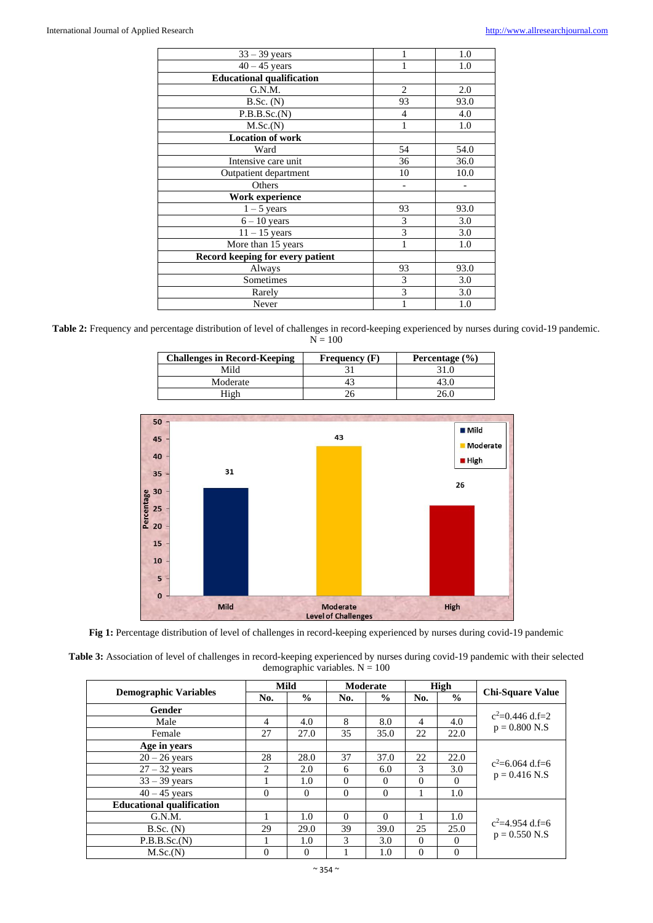| $33 - 39$ years                  | 1                        | 1.0  |
|----------------------------------|--------------------------|------|
| $40 - 45$ years                  | 1                        | 1.0  |
| <b>Educational qualification</b> |                          |      |
| G.N.M.                           | $\overline{2}$           | 2.0  |
| B.Sc. (N)                        | 93                       | 93.0 |
| P.B.B.Sc.(N)                     | 4                        | 4.0  |
| M.Sc.(N)                         | 1                        | 1.0  |
| <b>Location of work</b>          |                          |      |
| Ward                             | 54                       | 54.0 |
| Intensive care unit              | 36                       | 36.0 |
| Outpatient department            | 10                       | 10.0 |
| Others                           | $\overline{\phantom{0}}$ |      |
| Work experience                  |                          |      |
| $1 - 5$ years                    | 93                       | 93.0 |
| $6 - 10$ years                   | 3                        | 3.0  |
| $11 - 15$ years                  | 3                        | 3.0  |
| More than 15 years               | 1                        | 1.0  |
| Record keeping for every patient |                          |      |
| Always                           | 93                       | 93.0 |
| Sometimes                        | 3                        | 3.0  |
| Rarely                           | 3                        | 3.0  |
| Never                            | 1                        | 1.0  |

**Table 2:** Frequency and percentage distribution of level of challenges in record-keeping experienced by nurses during covid-19 pandemic.  $N = 100$ 

| <b>Challenges in Record-Keeping</b> | <b>Frequency</b> (F) | Percentage $(\% )$ |
|-------------------------------------|----------------------|--------------------|
| Mild                                |                      |                    |
| Moderate                            |                      |                    |
| ligh                                |                      |                    |



**Fig 1:** Percentage distribution of level of challenges in record-keeping experienced by nurses during covid-19 pandemic

| Table 3: Association of level of challenges in record-keeping experienced by nurses during covid-19 pandemic with their selected |  |
|----------------------------------------------------------------------------------------------------------------------------------|--|
| demographic variables. $N = 100$                                                                                                 |  |

| <b>Demographic Variables</b>     | Mild     |               | Moderate |          | <b>High</b> |                |                                        |
|----------------------------------|----------|---------------|----------|----------|-------------|----------------|----------------------------------------|
|                                  | No.      | $\frac{0}{0}$ | No.      | $\%$     | No.         | $\frac{0}{0}$  | <b>Chi-Square Value</b>                |
| Gender                           |          |               |          |          |             |                | $c^2=0.446$ d.f=2                      |
| Male                             | 4        | 4.0           | 8        | 8.0      | 4           | 4.0            |                                        |
| Female                           | 27       | 27.0          | 35       | 35.0     | 22          | 22.0           | $p = 0.800 N.S$                        |
| Age in years                     |          |               |          |          |             |                |                                        |
| $20 - 26$ years                  | 28       | 28.0          | 37       | 37.0     | 22          | 22.0           | $c^2=6.064$ d.f=6<br>$p = 0.416$ N.S   |
| $27 - 32$ years                  | 2        | 2.0           | 6        | 6.0      | 3           | 3.0            |                                        |
| $33 - 39$ years                  |          | 1.0           | $\Omega$ | $\Omega$ | $\Omega$    | $\Omega$       |                                        |
| $40 - 45$ years                  | $\Omega$ | $\Omega$      | $\Omega$ | $\Omega$ |             | 1.0            |                                        |
| <b>Educational qualification</b> |          |               |          |          |             |                |                                        |
| G.N.M.                           |          | 1.0           | $\Omega$ | $\Omega$ |             | 1.0            | $c^2 = 4.954$ d.f=6<br>$p = 0.550 N.S$ |
| B.Sc. (N)                        | 29       | 29.0          | 39       | 39.0     | 25          | 25.0           |                                        |
| P.B.B.Sc.(N)                     |          | 1.0           | 3        | 3.0      | $\Omega$    | $\Omega$       |                                        |
| M.Sc.(N)                         | $\Omega$ | $\Omega$      |          | 1.0      | 0           | $\overline{0}$ |                                        |